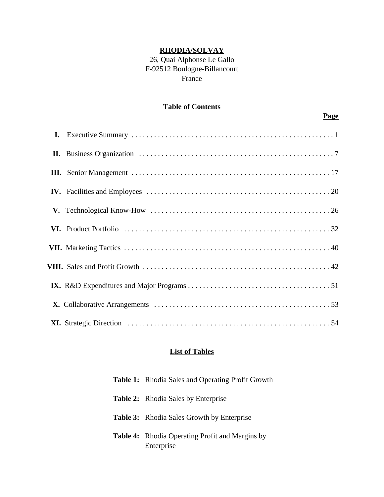## **RHODIA/SOLVAY**

# 26, Quai Alphonse Le Gallo F-92512 Boulogne-Billancourt France

### **Table of Contents**

## **Page**

### **List of Tables**

| <b>Table 1:</b> Rhodia Sales and Operating Profit Growth             |
|----------------------------------------------------------------------|
| <b>Table 2:</b> Rhodia Sales by Enterprise                           |
| <b>Table 3:</b> Rhodia Sales Growth by Enterprise                    |
| <b>Table 4:</b> Rhodia Operating Profit and Margins by<br>Enterprise |